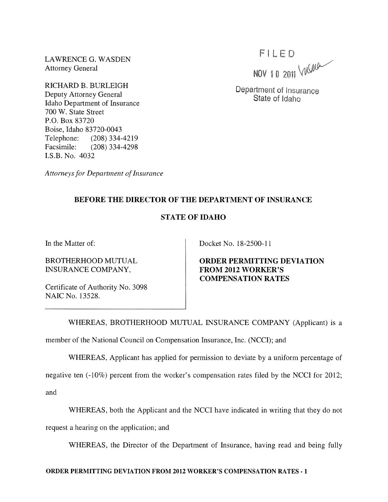LAWRENCE G. WASDEN Attorney General

RICHARD B. BURLEIGH Deputy Attorney General Idaho Department of Insurance 700 W. State Street P.O. Box 83720 Boise, Idaho 83720-0043 Telephone: (208) 334-4219 Facsimile: (208) 334-4298 I.S.B. No. 4032

*Attorneys for Department of Insurance* 

 $FILED$ <br>NOV 10 2011  $\sqrt{M}$ 

Department of Insurance State of Idaho

## BEFORE THE DIRECTOR OF THE DEPARTMENT OF INSURANCE

## STATE OF IDAHO

In the Matter of:

BROTHERHOOD MUTUAL INSURANCE COMPANY,

Docket No. 18-2500-11

ORDER PERMITTING DEVIATION FROM 2012 WORKER'S COMPENSATION RATES

Certificate of Authority No. 3098 NAIC No. 13528.

WHEREAS, BROTHERHOOD MUTUAL INSURANCE COMPANY (Applicant) is a

member of the National Council on Compensation Insurance, Inc. (NCCI); and

WHEREAS, Applicant has applied for permission to deviate by a uniform percentage of

negative ten (-10%) percent from the worker's compensation rates filed by the NCCI for 2012;

and

WHEREAS, both the Applicant and the NCCI have indicated in writing that they do not

request a hearing on the application; and

WHEREAS, the Director of the Department of Insurance, having read and being fully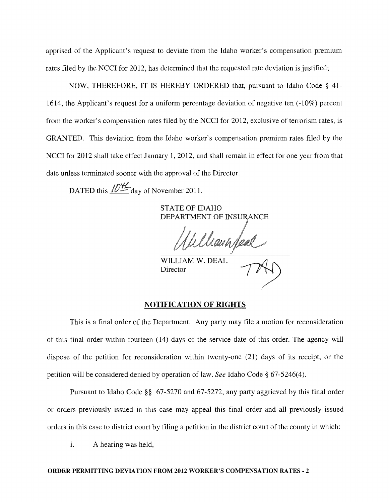apprised of the Applicant's request to deviate from the Idaho worker's compensation premium rates filed by the NCCI for 2012, has determined that the requested rate deviation is justified;

NOW, THEREFORE, IT IS HEREBY ORDERED that, pursuant to Idaho Code § 41- 1614, the Applicant's request for a uniform percentage deviation of negative ten (-10%) percent from the worker's compensation rates filed by the NCCI for 2012, exclusive of terrorism rates, is GRANTED. This deviation from the Idaho worker's compensation premium rates filed by the NCCI for 2012 shall take effect January 1, 2012, and shall remain in effect for one year from that date unless terminated sooner with the approval of the Director.

DATED this  $\sqrt{D_{\perp}^{2}t}$  day of November 2011.

STATE OF IDAHO DEPARTMENT OF INSURANCE

WILLIAM W. DEAL

Director

## NOTIFICATION OF RIGHTS

This is a final order of the Department. Any party may file a motion for reconsideration of this final order within fourteen (14) days of the service date of this order. The agency will dispose of the petition for reconsideration within twenty-one (21) days of its receipt, or the petition will be considered denied by operation of law. *See* Idaho Code § 67-5246(4).

Pursuant to Idaho Code §§ 67-5270 and 67-5272, any party aggrieved by this final order or orders previously issued in this case may appeal this final order and all previously issued orders in this case to district court by filing a petition in the district court of the county in which:

1. A hearing was held,